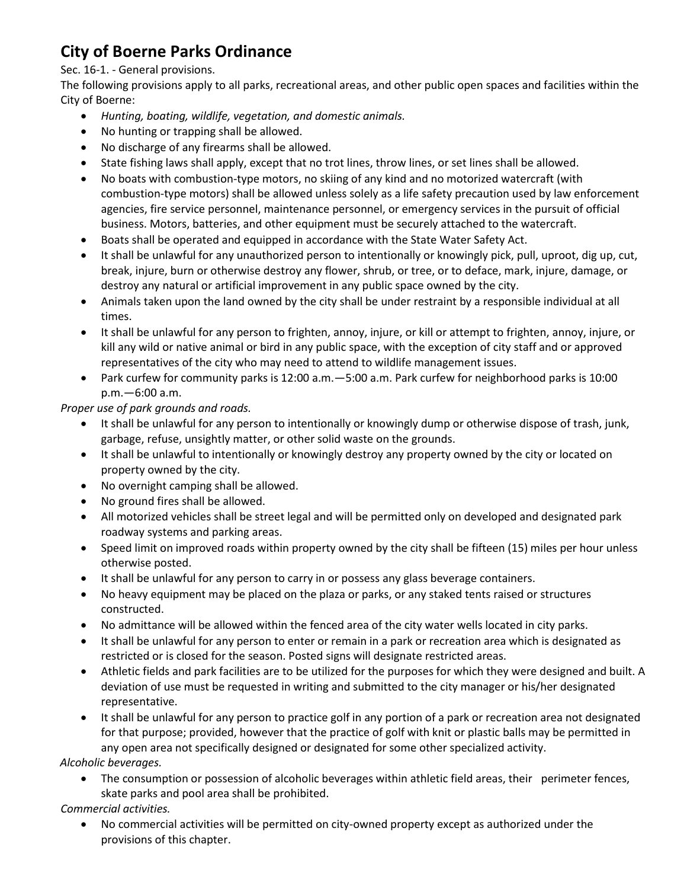# **City of Boerne Parks Ordinance**

### Sec. 16-1. - General provisions.

The following provisions apply to all parks, recreational areas, and other public open spaces and facilities within the City of Boerne:

- *Hunting, boating, wildlife, vegetation, and domestic animals.*
- No hunting or trapping shall be allowed.
- No discharge of any firearms shall be allowed.
- State fishing laws shall apply, except that no trot lines, throw lines, or set lines shall be allowed.
- No boats with combustion-type motors, no skiing of any kind and no motorized watercraft (with combustion-type motors) shall be allowed unless solely as a life safety precaution used by law enforcement agencies, fire service personnel, maintenance personnel, or emergency services in the pursuit of official business. Motors, batteries, and other equipment must be securely attached to the watercraft.
- Boats shall be operated and equipped in accordance with the State Water Safety Act.
- It shall be unlawful for any unauthorized person to intentionally or knowingly pick, pull, uproot, dig up, cut, break, injure, burn or otherwise destroy any flower, shrub, or tree, or to deface, mark, injure, damage, or destroy any natural or artificial improvement in any public space owned by the city.
- Animals taken upon the land owned by the city shall be under restraint by a responsible individual at all times.
- It shall be unlawful for any person to frighten, annoy, injure, or kill or attempt to frighten, annoy, injure, or kill any wild or native animal or bird in any public space, with the exception of city staff and or approved representatives of the city who may need to attend to wildlife management issues.
- Park curfew for community parks is 12:00 a.m.—5:00 a.m. Park curfew for neighborhood parks is 10:00 p.m.—6:00 a.m.

#### *Proper use of park grounds and roads.*

- It shall be unlawful for any person to intentionally or knowingly dump or otherwise dispose of trash, junk, garbage, refuse, unsightly matter, or other solid waste on the grounds.
- It shall be unlawful to intentionally or knowingly destroy any property owned by the city or located on property owned by the city.
- No overnight camping shall be allowed.
- No ground fires shall be allowed.
- All motorized vehicles shall be street legal and will be permitted only on developed and designated park roadway systems and parking areas.
- Speed limit on improved roads within property owned by the city shall be fifteen (15) miles per hour unless otherwise posted.
- It shall be unlawful for any person to carry in or possess any glass beverage containers.
- No heavy equipment may be placed on the plaza or parks, or any staked tents raised or structures constructed.
- No admittance will be allowed within the fenced area of the city water wells located in city parks.
- It shall be unlawful for any person to enter or remain in a park or recreation area which is designated as restricted or is closed for the season. Posted signs will designate restricted areas.
- Athletic fields and park facilities are to be utilized for the purposes for which they were designed and built. A deviation of use must be requested in writing and submitted to the city manager or his/her designated representative.
- It shall be unlawful for any person to practice golf in any portion of a park or recreation area not designated for that purpose; provided, however that the practice of golf with knit or plastic balls may be permitted in any open area not specifically designed or designated for some other specialized activity.

 *Alcoholic beverages.*

• The consumption or possession of alcoholic beverages within athletic field areas, their perimeter fences, skate parks and pool area shall be prohibited.

## *Commercial activities.*

 No commercial activities will be permitted on city-owned property except as authorized under the provisions of this chapter.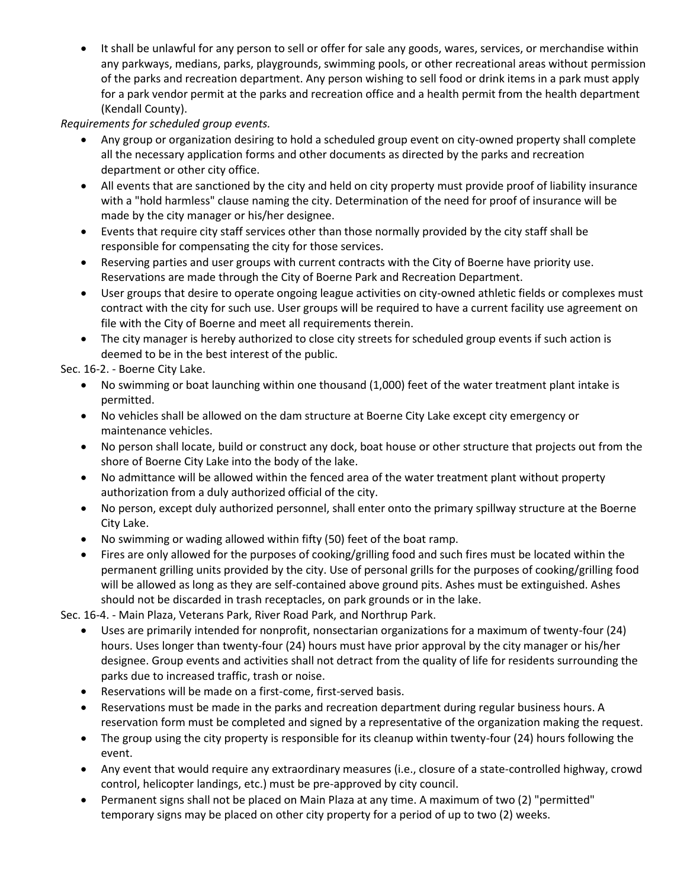It shall be unlawful for any person to sell or offer for sale any goods, wares, services, or merchandise within any parkways, medians, parks, playgrounds, swimming pools, or other recreational areas without permission of the parks and recreation department. Any person wishing to sell food or drink items in a park must apply for a park vendor permit at the parks and recreation office and a health permit from the health department (Kendall County).

## *Requirements for scheduled group events.*

- Any group or organization desiring to hold a scheduled group event on city-owned property shall complete all the necessary application forms and other documents as directed by the parks and recreation department or other city office.
- All events that are sanctioned by the city and held on city property must provide proof of liability insurance with a "hold harmless" clause naming the city. Determination of the need for proof of insurance will be made by the city manager or his/her designee.
- Events that require city staff services other than those normally provided by the city staff shall be responsible for compensating the city for those services.
- Reserving parties and user groups with current contracts with the City of Boerne have priority use. Reservations are made through the City of Boerne Park and Recreation Department.
- User groups that desire to operate ongoing league activities on city-owned athletic fields or complexes must contract with the city for such use. User groups will be required to have a current facility use agreement on file with the City of Boerne and meet all requirements therein.
- The city manager is hereby authorized to close city streets for scheduled group events if such action is deemed to be in the best interest of the public.

Sec. 16-2. - Boerne City Lake.

- No swimming or boat launching within one thousand (1,000) feet of the water treatment plant intake is permitted.
- No vehicles shall be allowed on the dam structure at Boerne City Lake except city emergency or maintenance vehicles.
- No person shall locate, build or construct any dock, boat house or other structure that projects out from the shore of Boerne City Lake into the body of the lake.
- No admittance will be allowed within the fenced area of the water treatment plant without property authorization from a duly authorized official of the city.
- No person, except duly authorized personnel, shall enter onto the primary spillway structure at the Boerne City Lake.
- No swimming or wading allowed within fifty (50) feet of the boat ramp.
- Fires are only allowed for the purposes of cooking/grilling food and such fires must be located within the permanent grilling units provided by the city. Use of personal grills for the purposes of cooking/grilling food will be allowed as long as they are self-contained above ground pits. Ashes must be extinguished. Ashes should not be discarded in trash receptacles, on park grounds or in the lake.

Sec. 16-4. - Main Plaza, Veterans Park, River Road Park, and Northrup Park.

- Uses are primarily intended for nonprofit, nonsectarian organizations for a maximum of twenty-four (24) hours. Uses longer than twenty-four (24) hours must have prior approval by the city manager or his/her designee. Group events and activities shall not detract from the quality of life for residents surrounding the parks due to increased traffic, trash or noise.
- Reservations will be made on a first-come, first-served basis.
- Reservations must be made in the parks and recreation department during regular business hours. A reservation form must be completed and signed by a representative of the organization making the request.
- The group using the city property is responsible for its cleanup within twenty-four (24) hours following the event.
- Any event that would require any extraordinary measures (i.e., closure of a state-controlled highway, crowd control, helicopter landings, etc.) must be pre-approved by city council.
- Permanent signs shall not be placed on Main Plaza at any time. A maximum of two (2) "permitted" temporary signs may be placed on other city property for a period of up to two (2) weeks.